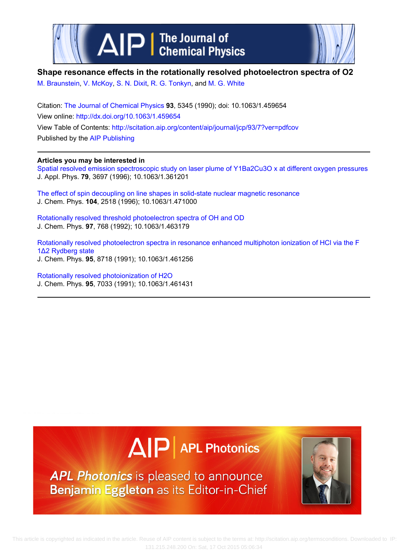



## **Shape resonance effects in the rotationally resolved photoelectron spectra of O2**

[M. Braunstein](http://scitation.aip.org/search?value1=M.+Braunstein&option1=author), [V. McKoy](http://scitation.aip.org/search?value1=V.+McKoy&option1=author), [S. N. Dixit](http://scitation.aip.org/search?value1=S.+N.+Dixit&option1=author), [R. G. Tonkyn,](http://scitation.aip.org/search?value1=R.+G.+Tonkyn&option1=author) and [M. G. White](http://scitation.aip.org/search?value1=M.+G.+White&option1=author)

Citation: [The Journal of Chemical Physics](http://scitation.aip.org/content/aip/journal/jcp?ver=pdfcov) **93**, 5345 (1990); doi: 10.1063/1.459654 View online: <http://dx.doi.org/10.1063/1.459654> View Table of Contents:<http://scitation.aip.org/content/aip/journal/jcp/93/7?ver=pdfcov> Published by the [AIP Publishing](http://scitation.aip.org/content/aip?ver=pdfcov)

## **Articles you may be interested in**

[Spatial resolved emission spectroscopic study on laser plume of Y1Ba2Cu3O x at different oxygen pressures](http://scitation.aip.org/content/aip/journal/jap/79/7/10.1063/1.361201?ver=pdfcov) J. Appl. Phys. **79**, 3697 (1996); 10.1063/1.361201

The effect of spin decoupling on line shapes in solid-state nuclear magnetic resonance J. Chem. Phys. **104**, 2518 (1996); 10.1063/1.471000

[Rotationally resolved threshold photoelectron spectra of OH and OD](http://scitation.aip.org/content/aip/journal/jcp/97/2/10.1063/1.463179?ver=pdfcov) J. Chem. Phys. **97**, 768 (1992); 10.1063/1.463179

[Rotationally resolved photoelectron spectra in resonance enhanced multiphoton ionization of HCl via the F](http://scitation.aip.org/content/aip/journal/jcp/95/12/10.1063/1.461256?ver=pdfcov) [1Δ2 Rydberg state](http://scitation.aip.org/content/aip/journal/jcp/95/12/10.1063/1.461256?ver=pdfcov) J. Chem. Phys. **95**, 8718 (1991); 10.1063/1.461256

[Rotationally resolved photoionization of H2O](http://scitation.aip.org/content/aip/journal/jcp/95/10/10.1063/1.461431?ver=pdfcov) J. Chem. Phys. **95**, 7033 (1991); 10.1063/1.461431





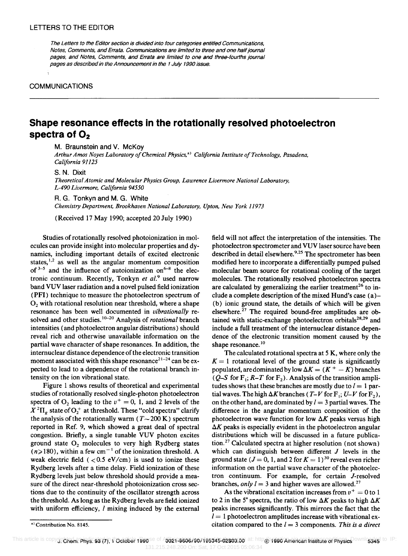The Letters to the Editor section is divided into four categories entitled Communications, Notes, Comments, and Errata. Communications are limited to three and one half journal pages, and Notes, Comments, and Errata are limited to one and three-fourths journal pages as described in the Announcement in the 1 July 1990 issue.

## COMMUNICATIONS

## **Shape resonance effects in the rotationally resolved photoelectron spectra of O<sup>2</sup>**

M. Braunstein and V. McKoy

*Arthur Amos Noyes Laboratory o/Chemical Physics,* a) *California Institute o/Technology, Pasadena, California 91125* 

S. N. Dixit

**Theoretical Atomic and Molecular Physics Group, Lawrence Livermore National Laboratory,** *L-490 Livermore, California 94550* 

R. G. Tonkyn and M. G. White *Chemistry Department, Brookhaven National Laboratory, Upton, New York 11973* 

(Received 17 May 1990; accepted 20 July 1990)

Studies of rotationally resolved photoionization in molecules can provide insight into molecular properties and dynamics, including important details of excited electronic states, $1,2$  as well as the angular momentum composition of  $3-5$  and the influence of autoionization on  $6-8$  the electronic continuum. Recently, Tonkyn et al.<sup>9</sup> used narrow band VUV laser radiation and a novel pulsed field ionization (PFI) technique to measure the photoelectron spectrum of  $O<sub>2</sub>$  with rotational resolution near threshold, where a shape resonance has been well documented in *vibrationally* resolved and other studies. 10-20 Analysis of *rotational* branch intensities (and photoelectron angular distributions) should reveal rich and otherwise unavailable information on the partial wave character of shape resonances. In addition, the internuclear distance dependence of the electronic transition moment associated with this shape resonance<sup>21-24</sup> can be expected to lead to a dependence of the rotational branch intensity on the ion vibrational state.

Figure 1 shows results of theoretical and experimental studies of rotationally resolved single-photon photoelectron spectra of  $O_2$  leading to the  $v^+ = 0$ , 1, and 2 levels of the  $X^{2}\Pi_{g}$  state of  $O_{2}^{+}$  at threshold. These "cold spectra" clarify the analysis of the rotationally warm ( $T \sim 200$  K) spectrum reported in Ref. 9, which showed a great deal of spectral congestion. Briefly, a single tunable VUV photon excites ground state  $O_2$  molecules to very high Rydberg states  $(n\geq 180)$ , within a few cm<sup>-1</sup> of the ionization threshold. A weak electric field  $( $0.5 \text{ eV/cm}$ ) is used to ionize these$ Rydberg levels after a time delay. Field ionization of these Rydberg levels just below threshold should provide a measure of the direct near-threshold photoionization cross sections due to the continuity of the oscillator strength across the threshold. As long as the Rydberg levels are field ionized with uniform efficiency, *l* mixing induced by the external field will not affect the interpretation of the intensities. The photoelectron spectrometer and VUV laser source have been described in detail elsewhere.<sup>9,25</sup> The spectrometer has been modified here to incorporate a differentially pumped pulsed molecular beam source for rotational cooling of the target molecules. The rotationally resolved photoelectron spectra are calculated by generalizing the earlier treatment<sup>26</sup> to include a complete description of the mixed Hund's case  $(a)$ -(b) ionic ground state, the details of which will be given elsewhere. $27$  The required bound-free amplitudes are obtained with static-exchange photoelectron orbitals<sup>28,29</sup> and include a full treatment of the internuclear distance dependence of the electronic transition moment caused by the shape resonance.<sup>10</sup>

The calculated rotational spectra at 5 K, where only the  $K = 1$  rotational level of the ground state is significantly populated, are dominated by low  $\Delta K = (K^+ - K)$  branches ( $Q$ -S for  $F_1$ ;  $R$ -T for  $F_2$ ). Analysis of the transition amplitudes shows that these branches are mostly due to  $l = 1$  partial waves. The high  $\Delta K$  branches (T-V for F<sub>1</sub>; U-V for F<sub>2</sub>), on the other hand, are dominated by  $l = 3$  partial waves. The difference in the angular momentum composition of the photoelectron wave function for low  $\Delta K$  peaks versus high  $\Delta K$  peaks is especially evident in the photoelectron angular distributions which will be discussed in a future publication.27 Calculated spectra at higher resolution (not shown) which can distinguish between different  $J$  levels in the ground state ( $J = 0$ , 1, and 2 for  $K = 1$ )<sup>30</sup> reveal even richer information on the partial wave character of the photoelectron continuum. For example, for certain J-resolved branches, *only l* = 3 and higher waves are allowed.<sup>27</sup>

As the vibrational excitation increases from  $v^+ = 0$  to 1 to 2 in the 5° spectra, the ratio of low  $\Delta K$  peaks to high  $\Delta K$ peaks increases significantly. This mirrors the fact that the  $l=1$  photoelectron amplitudes increase with vibrational excitation compared to the *1=* 3 components. *This is a direct* 

a) Contribution No. 8145.